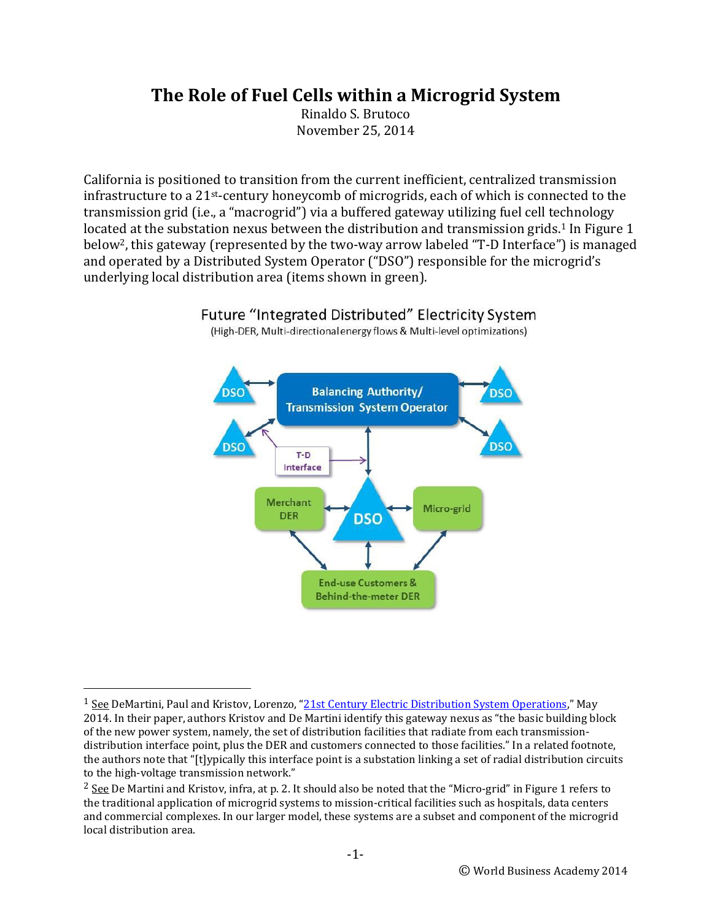## **The Role of Fuel Cells within a Microgrid System**

Rinaldo S. Brutoco November 25, 2014

California is positioned to transition from the current inefficient, centralized transmission infrastructure to a 21st-century honeycomb of microgrids, each of which is connected to the transmission grid (i.e., a "macrogrid") via a buffered gateway utilizing fuel cell technology located at the substation nexus between the distribution and transmission grids.<sup>1</sup> In Figure 1 below2, this gateway (represented by the two-way arrow labeled "T-D Interface") is managed and operated by a Distributed System Operator ("DSO") responsible for the microgrid's underlying local distribution area (items shown in green).



Future "Integrated Distributed" Electricity System

l

<sup>(</sup>High-DER, Multi-directional energy flows & Multi-level optimizations)

<sup>&</sup>lt;sup>1</sup> See DeMartini, Paul and Kristov, Lorenzo, "[21st Century Electric Distribution System Operations](http://resnick.caltech.edu/docs/21st.pdf)," May 2014. In their paper, authors Kristov and De Martini identify this gateway nexus as "the basic building block of the new power system, namely, the set of distribution facilities that radiate from each transmissiondistribution interface point, plus the DER and customers connected to those facilities." In a related footnote, the authors note that "[t]ypically this interface point is a substation linking a set of radial distribution circuits to the high-voltage transmission network."

 $2$  See De Martini and Kristov, infra, at p. 2. It should also be noted that the "Micro-grid" in Figure 1 refers to the traditional application of microgrid systems to mission-critical facilities such as hospitals, data centers and commercial complexes. In our larger model, these systems are a subset and component of the microgrid local distribution area.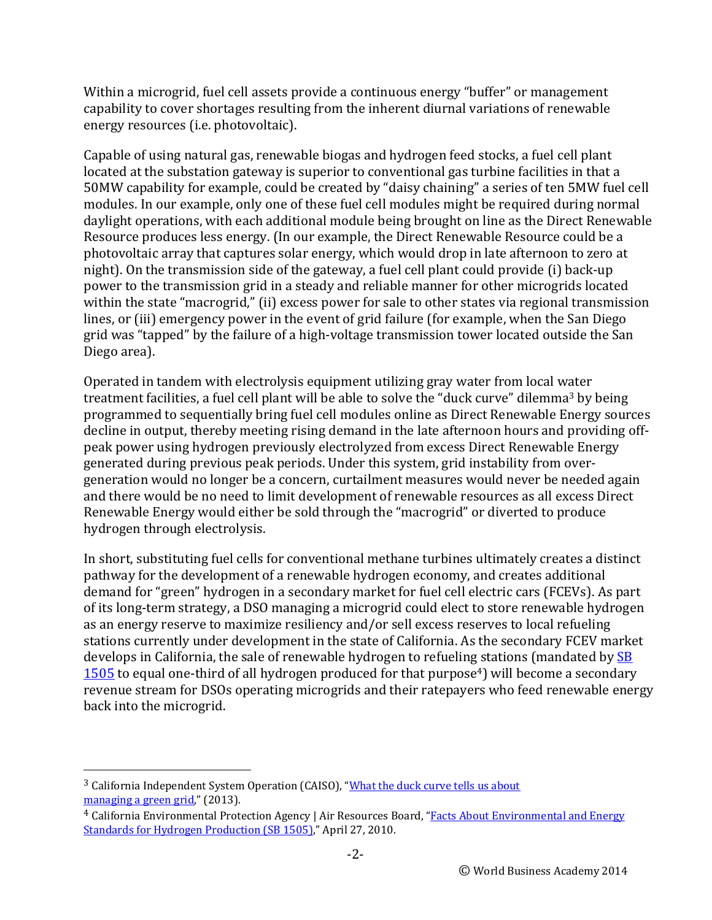Within a microgrid, fuel cell assets provide a continuous energy "buffer" or management capability to cover shortages resulting from the inherent diurnal variations of renewable energy resources (i.e. photovoltaic).

Capable of using natural gas, renewable biogas and hydrogen feed stocks, a fuel cell plant located at the substation gateway is superior to conventional gas turbine facilities in that a 50MW capability for example, could be created by "daisy chaining" a series of ten 5MW fuel cell modules. In our example, only one of these fuel cell modules might be required during normal daylight operations, with each additional module being brought on line as the Direct Renewable Resource produces less energy. (In our example, the Direct Renewable Resource could be a photovoltaic array that captures solar energy, which would drop in late afternoon to zero at night). On the transmission side of the gateway, a fuel cell plant could provide (i) back-up power to the transmission grid in a steady and reliable manner for other microgrids located within the state "macrogrid," (ii) excess power for sale to other states via regional transmission lines, or (iii) emergency power in the event of grid failure (for example, when the San Diego grid was "tapped" by the failure of a high-voltage transmission tower located outside the San Diego area).

Operated in tandem with electrolysis equipment utilizing gray water from local water treatment facilities, a fuel cell plant will be able to solve the "duck curve" dilemma<sup>3</sup> by being programmed to sequentially bring fuel cell modules online as Direct Renewable Energy sources decline in output, thereby meeting rising demand in the late afternoon hours and providing offpeak power using hydrogen previously electrolyzed from excess Direct Renewable Energy generated during previous peak periods. Under this system, grid instability from overgeneration would no longer be a concern, curtailment measures would never be needed again and there would be no need to limit development of renewable resources as all excess Direct Renewable Energy would either be sold through the "macrogrid" or diverted to produce hydrogen through electrolysis.

In short, substituting fuel cells for conventional methane turbines ultimately creates a distinct pathway for the development of a renewable hydrogen economy, and creates additional demand for "green" hydrogen in a secondary market for fuel cell electric cars (FCEVs). As part of its long-term strategy, a DSO managing a microgrid could elect to store renewable hydrogen as an energy reserve to maximize resiliency and/or sell excess reserves to local refueling stations currently under development in the state of California. As the secondary FCEV market develops in California, the sale of renewable hydrogen to refueling stations (mandated by SB [1505](http://www.leginfo.ca.gov/pub/05-06/bill/sen/sb_1501-1550/sb_1505_bill_20060930_chaptered.html) to equal one-third of all hydrogen produced for that purpose<sup>4</sup>) will become a secondary revenue stream for DSOs operating microgrids and their ratepayers who feed renewable energy back into the microgrid.

 $\overline{a}$ 

<sup>&</sup>lt;sup>3</sup> California Independent System Operation (CAISO), "What the duck curve tells us about [managing a green grid](http://www.caiso.com/documents/flexibleresourceshelprenewables_fastfacts.pdf)," (2013).

<sup>4</sup> California Environmental Protection Agency | Air Resources Board, "Facts About [Environmental and Energy](http://www.arb.ca.gov/msprog/hydprod/hydprod_fs.pdf)  [Standards for Hydrogen Production \(SB 1505\)](http://www.arb.ca.gov/msprog/hydprod/hydprod_fs.pdf)," April 27, 2010.